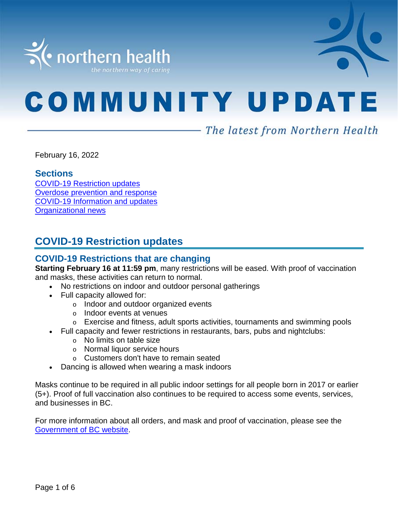

# **COMMUNITY UPDATE**

# - The latest from Northern Health

February 16, 2022

#### **Sections**

COVID-19 [Restriction updates](#page-0-0) [Overdose prevention and response](#page-1-0) [COVID-19 Information and updates](#page-1-1) [Organizational news](#page-5-0)

# <span id="page-0-0"></span>**COVID-19 Restriction updates**

# **COVID-19 Restrictions that are changing**

**Starting February 16 at 11:59 pm**, many restrictions will be eased. With proof of vaccination and masks, these activities can return to normal.

- No restrictions on indoor and outdoor personal gatherings
- Full capacity allowed for:
	- o Indoor and outdoor organized events
	- o Indoor events at venues
	- o Exercise and fitness, adult sports activities, tournaments and swimming pools
	- Full capacity and fewer restrictions in restaurants, bars, pubs and nightclubs:
		- o No limits on table size
		- o Normal liquor service hours
		- o Customers don't have to remain seated
- Dancing is allowed when wearing a mask indoors

Masks continue to be required in all public indoor settings for all people born in 2017 or earlier (5+). Proof of full vaccination also continues to be required to access some events, services, and businesses in BC.

For more information about all orders, and mask and proof of vaccination, please see the [Government of BC website.](https://www2.gov.bc.ca/gov/content/covid-19/info/restrictions#changes)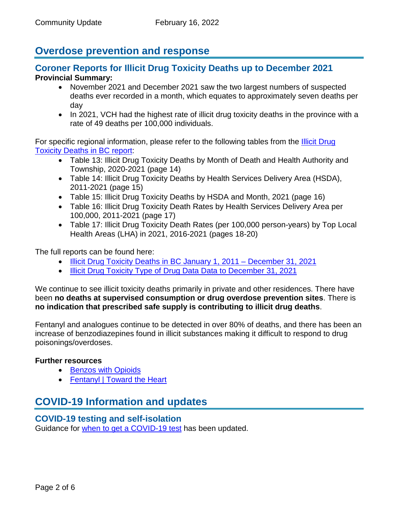# <span id="page-1-0"></span>**Overdose prevention and response**

## **Coroner Reports for Illicit Drug Toxicity Deaths up to December 2021 Provincial Summary:**

- November 2021 and December 2021 saw the two largest numbers of suspected deaths ever recorded in a month, which equates to approximately seven deaths per day
- In 2021, VCH had the highest rate of illicit drug toxicity deaths in the province with a rate of 49 deaths per 100,000 individuals.

For specific regional information, please refer to the following tables from the [Illicit Drug](http://www2.gov.bc.ca/assets/gov/birth-adoption-death-marriage-and-divorce/deaths/coroners-service/statistical/illicit-drug.pdf)  [Toxicity Deaths in BC report:](http://www2.gov.bc.ca/assets/gov/birth-adoption-death-marriage-and-divorce/deaths/coroners-service/statistical/illicit-drug.pdf)

- Table 13: Illicit Drug Toxicity Deaths by Month of Death and Health Authority and Township, 2020-2021 (page 14)
- Table 14: Illicit Drug Toxicity Deaths by Health Services Delivery Area (HSDA), 2011-2021 (page 15)
- Table 15: Illicit Drug Toxicity Deaths by HSDA and Month, 2021 (page 16)
- Table 16: Illicit Drug Toxicity Death Rates by Health Services Delivery Area per 100,000, 2011-2021 (page 17)
- Table 17: Illicit Drug Toxicity Death Rates (per 100,000 person-years) by Top Local Health Areas (LHA) in 2021, 2016-2021 (pages 18-20)

The full reports can be found here:

- [Illicit Drug Toxicity Deaths in BC January 1, 2011 –](https://www2.gov.bc.ca/assets/gov/birth-adoption-death-marriage-and-divorce/deaths/coroners-service/statistical/illicit-drug.pdf) December 31, 2021
- [Illicit Drug Toxicity Type of Drug Data Data to December 31, 2021](https://www2.gov.bc.ca/assets/gov/birth-adoption-death-marriage-and-divorce/deaths/coroners-service/statistical/illicit-drug-type.pdf)

We continue to see illicit toxicity deaths primarily in private and other residences. There have been **no deaths at supervised consumption or drug overdose prevention sites**. There is **no indication that prescribed safe supply is contributing to illicit drug deaths**.

Fentanyl and analogues continue to be detected in over 80% of deaths, and there has been an increase of benzodiazepines found in illicit substances making it difficult to respond to drug poisonings/overdoses.

#### **Further resources**

- [Benzos with Opioids](https://towardtheheart.com/assets/uploads/1609802595WXFJCmRP6tu1qI04J8t6BzVqs7D6e2JA3DiRkVR.pdf)
- [Fentanyl | Toward the Heart](https://towardtheheart.com/fentanyl)

# <span id="page-1-1"></span>**COVID-19 Information and updates**

#### **COVID-19 testing and self-isolation**

Guidance for [when to get a COVID-19 test](https://bc.thrive.health/) has been updated.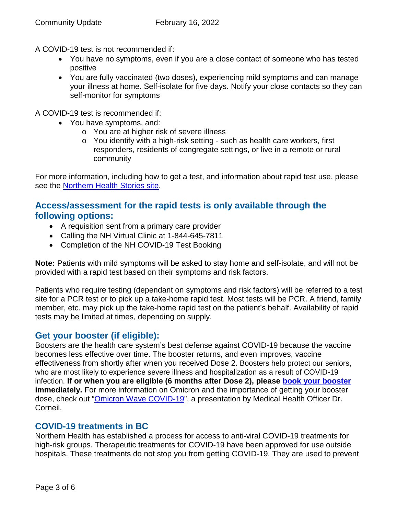A COVID-19 test is not recommended if:

- You have no symptoms, even if you are a close contact of someone who has tested positive
- You are fully vaccinated (two doses), experiencing mild symptoms and can manage your illness at home. Self-isolate for five days. Notify your close contacts so they can self-monitor for symptoms

A COVID-19 test is recommended if:

- You have symptoms, and:
	- o You are at higher risk of severe illness
	- o You identify with a high-risk setting such as health care workers, first responders, residents of congregate settings, or live in a remote or rural community

For more information, including how to get a test, and information about rapid test use, please see the **Northern Health Stories site.** 

# **Access/assessment for the rapid tests is only available through the following options:**

- A requisition sent from a primary care provider
- Calling the NH Virtual Clinic at 1-844-645-7811
- Completion of the NH COVID-19 Test Booking

**Note:** Patients with mild symptoms will be asked to stay home and self-isolate, and will not be provided with a rapid test based on their symptoms and risk factors.

Patients who require testing (dependant on symptoms and risk factors) will be referred to a test site for a PCR test or to pick up a take-home rapid test. Most tests will be PCR. A friend, family member, etc. may pick up the take-home rapid test on the patient's behalf. Availability of rapid tests may be limited at times, depending on supply.

# **Get your booster (if eligible):**

Boosters are the health care system's best defense against COVID-19 because the vaccine becomes less effective over time. The booster returns, and even improves, vaccine effectiveness from shortly after when you received Dose 2. Boosters help protect our seniors, who are most likely to experience severe illness and hospitalization as a result of COVID-19 infection. **If or when you are eligible (6 months after Dose 2), please [book your booster](https://www.getvaccinated.gov.bc.ca/s/) immediately.** For more information on Omicron and the importance of getting your booster dose, check out ["Omicron Wave COVID-19"](https://youtu.be/Dm_lvD2_wEg), a presentation by Medical Health Officer Dr. Corneil.

# **COVID-19 treatments in BC**

Northern Health has established a process for access to anti-viral COVID-19 treatments for high-risk groups. Therapeutic treatments for COVID-19 have been approved for use outside hospitals. These treatments do not stop you from getting COVID-19. They are used to prevent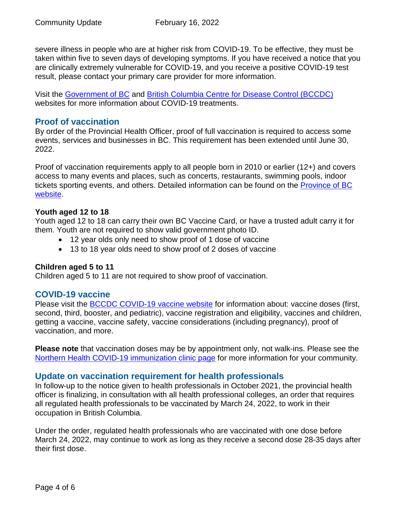severe illness in people who are at higher risk from COVID-19. To be effective, they must be taken within five to seven days of developing symptoms. If you have received a notice that you are clinically extremely vulnerable for COVID-19, and you receive a positive COVID-19 test result, please contact your primary care provider for more information.

Visit the [Government of BC](https://www2.gov.bc.ca/gov/content/covid-19/vaccine/treatments) and [British Columbia Centre for Disease Control \(BCCDC\)](http://www.bccdc.ca/health-info/diseases-conditions/covid-19/about-covid-19/treatments) websites for more information about COVID-19 treatments.

## **Proof of vaccination**

By order of the Provincial Health Officer, proof of full vaccination is required to access some events, services and businesses in BC. This requirement has been extended until June 30, 2022.

Proof of vaccination requirements apply to all people born in 2010 or earlier (12+) and covers access to many events and places, such as concerts, restaurants, swimming pools, indoor tickets sporting events, and others. Detailed information can be found on the **Province of BC** [website.](https://www2.gov.bc.ca/gov/content/covid-19/vaccine/proof)

#### **Youth aged 12 to 18**

Youth aged 12 to 18 can carry their own BC Vaccine Card, or have a trusted adult carry it for them. Youth are not required to show valid government photo ID.

- 12 year olds only need to show proof of 1 dose of vaccine
- 13 to 18 year olds need to show proof of 2 doses of vaccine

#### **Children aged 5 to 11**

Children aged 5 to 11 are not required to show proof of vaccination.

#### **COVID-19 vaccine**

Please visit the [BCCDC COVID-19 vaccine website](http://www.bccdc.ca/health-info/diseases-conditions/covid-19/covid-19-vaccine) for information about: vaccine doses (first, second, third, booster, and pediatric), vaccine registration and eligibility, vaccines and children, getting a vaccine, vaccine safety, vaccine considerations (including pregnancy), proof of vaccination, and more.

**Please note** that vaccination doses may be by appointment only, not walk-ins. Please see the [Northern Health COVID-19 immunization clinic page](https://www.northernhealth.ca/health-topics/covid-19-immunization-clinics) for more information for your community.

#### **Update on vaccination requirement for health professionals**

In follow-up to the notice given to health professionals in October 2021, the provincial health officer is finalizing, in consultation with all health professional colleges, an order that requires all regulated health professionals to be vaccinated by March 24, 2022, to work in their occupation in British Columbia.

Under the order, regulated health professionals who are vaccinated with one dose before March 24, 2022, may continue to work as long as they receive a second dose 28-35 days after their first dose.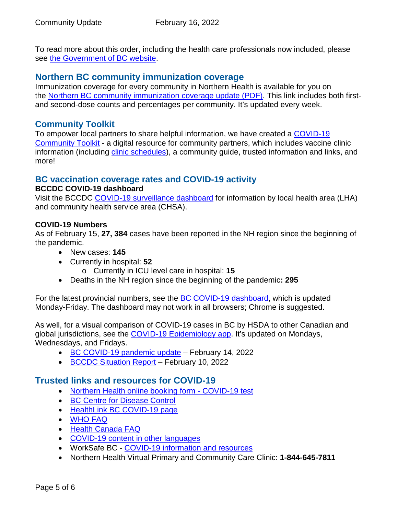To read more about this order, including the health care professionals now included, please see [the Government of BC website.](https://news.gov.bc.ca/releases/2022HLTH0047-000195)

# **Northern BC community immunization coverage**

Immunization coverage for every community in Northern Health is available for you on the [Northern BC community immunization coverage update](https://www.northernhealth.ca/sites/northern_health/files/health-information/health-topics/vaccine/documents/northern-bc-immunization-coverage.pdf) (PDF). This link includes both firstand second-dose counts and percentages per community. It's updated every week.

# **Community Toolkit**

To empower local partners to share helpful information, we have created a [COVID-19](https://www.northernhealth.ca/health-topics/covid-19-vaccine-plan/covid-19-community-toolkit)  [Community Toolkit](https://www.northernhealth.ca/health-topics/covid-19-vaccine-plan/covid-19-community-toolkit) - a digital resource for community partners, which includes vaccine clinic information (including [clinic schedules\)](https://www.northernhealth.ca/health-topics/covid-19-immunization-clinics), a community guide, trusted information and links, and more!

# **BC vaccination coverage rates and COVID-19 activity**

#### **BCCDC COVID-19 dashboard**

Visit the BCCDC [COVID-19 surveillance dashboard](https://public.tableau.com/app/profile/bccdc/viz/BCCDCCOVID-19SurveillanceDashboard/Introduction) for information by local health area (LHA) and community health service area (CHSA).

#### **COVID-19 Numbers**

As of February 15, **27, 384** cases have been reported in the NH region since the beginning of the pandemic.

- New cases: **145**
- Currently in hospital: **52**
	- o Currently in ICU level care in hospital: **15**
- Deaths in the NH region since the beginning of the pandemic**: 295**

For the latest provincial numbers, see the [BC COVID-19 dashboard,](https://experience.arcgis.com/experience/a6f23959a8b14bfa989e3cda29297ded) which is updated Monday-Friday. The dashboard may not work in all browsers; Chrome is suggested.

As well, for a visual comparison of COVID-19 cases in BC by HSDA to other Canadian and global jurisdictions, see the [COVID-19 Epidemiology app.](https://bccdc.shinyapps.io/covid19_global_epi_app/) It's updated on Mondays, Wednesdays, and Fridays.

- [BC COVID-19 pandemic update](https://news.gov.bc.ca/releases/2022HLTH0051-000216) February 14, 2022
- [BCCDC Situation Report](http://www.bccdc.ca/Health-Info-Site/Documents/COVID_sitrep/Week_4_2022_BC_COVID-19_Situation_Report.pdf) February 10, 2022

# **Trusted links and resources for COVID-19**

- [Northern Health online booking form -](https://northernhealthcovid.secureform.ca/index.php) COVID-19 test
- [BC Centre for Disease](http://www.bccdc.ca/health-professionals/clinical-resources/covid-19-care) Control
- [HealthLink BC COVID-19 page](https://www.healthlinkbc.ca/health-feature/coronavirus-disease-covid-19)
- [WHO FAQ](https://www.who.int/news-room/q-a-detail/q-a-coronaviruses)
- [Health Canada FAQ](https://www.canada.ca/en/public-health/services/diseases/2019-novel-coronavirus-infection/canadas-reponse.html)
- [COVID-19 content in other languages](http://www.bccdc.ca/health-info/diseases-conditions/covid-19/about-covid-19/translated-content)
- WorkSafe BC [COVID-19 information and resources](https://www.worksafebc.com/en/covid-19)
- Northern Health Virtual Primary and Community Care Clinic: **1-844-645-7811**